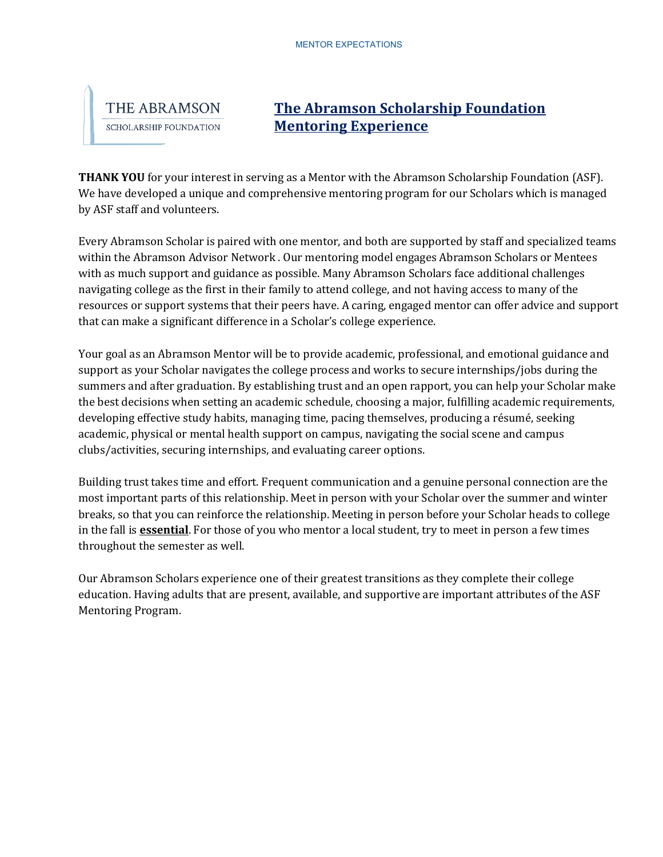

## **The Abramson Scholarship Foundation Mentoring Experience**

**THANK YOU** for your interest in serving as a Mentor with the Abramson Scholarship Foundation (ASF). We have developed a unique and comprehensive mentoring program for our Scholars which is managed by ASF staff and volunteers.

Every Abramson Scholar is paired with one mentor, and both are supported by staff and specialized teams within the Abramson Advisor Network . Our mentoring model engages Abramson Scholars or Mentees with as much support and guidance as possible. Many Abramson Scholars face additional challenges navigating college as the first in their family to attend college, and not having access to many of the resources or support systems that their peers have. A caring, engaged mentor can offer advice and support that can make a significant difference in a Scholar's college experience.

Your goal as an Abramson Mentor will be to provide academic, professional, and emotional guidance and support as your Scholar navigates the college process and works to secure internships/jobs during the summers and after graduation. By establishing trust and an open rapport, you can help your Scholar make the best decisions when setting an academic schedule, choosing a major, fulfilling academic requirements, developing effective study habits, managing time, pacing themselves, producing a résumé, seeking academic, physical or mental health support on campus, navigating the social scene and campus clubs/activities, securing internships, and evaluating career options.

Building trust takes time and effort. Frequent communication and a genuine personal connection are the most important parts of this relationship. Meet in person with your Scholar over the summer and winter breaks, so that you can reinforce the relationship. Meeting in person before your Scholar heads to college in the fall is **essential**. For those of you who mentor a local student, try to meet in person a few times throughout the semester as well.

Our Abramson Scholars experience one of their greatest transitions as they complete their college education. Having adults that are present, available, and supportive are important attributes of the ASF Mentoring Program.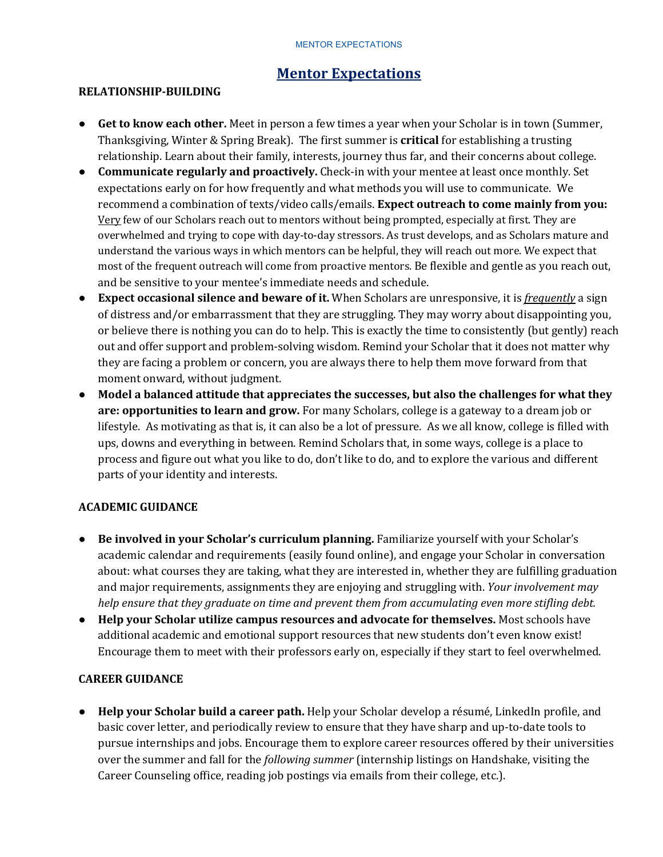#### MENTOR EXPECTATIONS

# **Mentor Expectations**

#### **RELATIONSHIP-BUILDING**

- Get to know each other. Meet in person a few times a year when your Scholar is in town (Summer, Thanksgiving, Winter & Spring Break). The first summer is **critical** for establishing a trusting relationship. Learn about their family, interests, journey thus far, and their concerns about college.
- Communicate regularly and proactively. Check-in with your mentee at least once monthly. Set expectations early on for how frequently and what methods you will use to communicate. We recommend a combination of texts/video calls/emails. **Expect outreach to come mainly from you:** <u>Very</u> few of our Scholars reach out to mentors without being prompted, especially at first. They are overwhelmed and trying to cope with day-to-day stressors. As trust develops, and as Scholars mature and understand the various ways in which mentors can be helpful, they will reach out more. We expect that most of the frequent outreach will come from proactive mentors. Be flexible and gentle as you reach out, and be sensitive to your mentee's immediate needs and schedule.
- **Expect occasional silence and beware of it.** When Scholars are unresponsive, it is *frequently* a sign of distress and/or embarrassment that they are struggling. They may worry about disappointing you, or believe there is nothing you can do to help. This is exactly the time to consistently (but gently) reach out and offer support and problem-solving wisdom. Remind your Scholar that it does not matter why they are facing a problem or concern, you are always there to help them move forward from that moment onward, without judgment.
- Model a balanced attitude that appreciates the successes, but also the challenges for what they are: opportunities to learn and grow. For many Scholars, college is a gateway to a dream job or lifestyle. As motivating as that is, it can also be a lot of pressure. As we all know, college is filled with ups, downs and everything in between. Remind Scholars that, in some ways, college is a place to process and figure out what you like to do, don't like to do, and to explore the various and different parts of your identity and interests.

#### **ACADEMIC GUIDANCE**

- Be involved in your Scholar's curriculum planning. Familiarize yourself with your Scholar's academic calendar and requirements (easily found online), and engage your Scholar in conversation about: what courses they are taking, what they are interested in, whether they are fulfilling graduation and major requirements, assignments they are enjoying and struggling with. *Your involvement may help* ensure that they graduate on time and prevent them from accumulating even more stifling debt.
- Help your Scholar utilize campus resources and advocate for themselves. Most schools have additional academic and emotional support resources that new students don't even know exist! Encourage them to meet with their professors early on, especially if they start to feel overwhelmed.

### **CAREER GUIDANCE**

● **Help your Scholar build a career path.** Help your Scholar develop a résumé, LinkedIn profile, and basic cover letter, and periodically review to ensure that they have sharp and up-to-date tools to pursue internships and jobs. Encourage them to explore career resources offered by their universities over the summer and fall for the *following summer* (internship listings on Handshake, visiting the Career Counseling office, reading job postings via emails from their college, etc.).